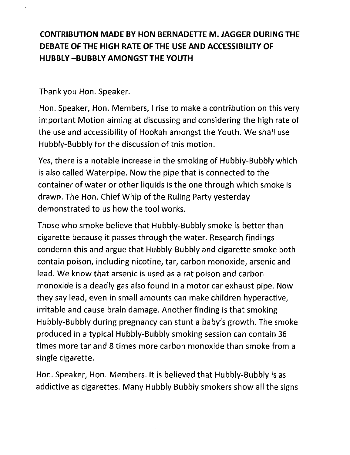## CONTRIBUTION MADE BY HON BERNADETIE M. JAGGER DURING THE DEBATE OF THE HIGH RATE OF THE USE AND ACCESSIBILITY OF HUBBLY -BUBBLY AMONGST THE YOUTH

Thank you Hon. Speaker.

Hon. Speaker, Hon. Members, I rise to make a contribution on this very important Motion aiming at discussing and considering the high rate of the use and accessibility of Hookah amongst the Youth. We shall use Hubbly-Bubbly for the discussion of this motion.

Yes, there is a notable increase in the smoking of Hubbly-Bubbly which is also called Waterpipe. Now the pipe that is connected to the container of water or other liquids is the one through which smoke is drawn. The Hon. Chief Whip of the Ruling Party yesterday demonstrated to us how the tool works.

Those who smoke believe that Hubbly-Bubbly smoke is better than cigarette because it passes through the water. Research findings condemn this and argue that Hubbly-Bubbly and cigarette smoke both contain poison, including nicotine, tar, carbon monoxide, arsenic and lead. We know that arsenic is used as a rat poison and carbon monoxide is a deadly gas also found in a motor car exhaust pipe. Now they say lead, even in small amounts can make children hyperactive, irritable and cause brain damage. Another finding is that smoking Hubbly-Bubbly during pregnancy can stunt a baby's growth. The smoke produced in a typical Hubbly-Bubbly smoking session can contain 36 times more tar and 8 times more carbon monoxide than smoke from a single cigarette.

Hon. Speaker, Hon. Members. It is believed that Hubbly-Bubbly is as addictive as cigarettes. Many Hubbly Bubbly smokers show all the signs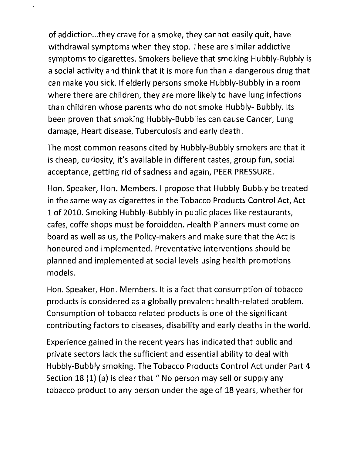of addiction ...they crave for a smoke, they cannot easily quit, have withdrawal symptoms when they stop. These are similar addictive symptoms to cigarettes. Smokers believe that smoking Hubbly-Bubbly is a social activity and think that it is more fun than a dangerous drug that can make you sick. If elderly persons smoke Hubbly-Bubbly in a room where there are children, they are more likely to have lung infections than children whose parents who do not smoke Hubbly- Bubbly. Its been proven that smoking Hubbly-Bubblies can cause Cancer, Lung damage, Heart disease, Tuberculosis and early death.

The most common reasons cited by Hubbly-Bubbly smokers are that it is cheap, curiosity, it's available in different tastes, group fun, social acceptance, getting rid of sadness and again, PEER PRESSURE.

Hon. Speaker, Hon. Members. I propose that Hubbly-Bubbly be treated in the same way as cigarettes in the Tobacco Products Control Act, Act 1 of 2010. Smoking Hubbly-Bubbly in public places like restaurants, cafes, coffe shops must be forbidden. Health Planners must come on board as well as us, the Policy-makers and make sure that the Act is honoured and implemented. Preventative interventions should be planned and implemented at social levels using health promotions models.

Hon. Speaker, Hon. Members. It is a fact that consumption of tobacco products is considered as a globally prevalent health-related problem. Consumption of tobacco related products is one of the significant contributing factors to diseases, disability and early deaths in the world.

Experience gained in the recent years has indicated that public and private sectors lack the sufficient and essential ability to deal with Hubbly-Bubbly smoking. The Tobacco Products Control Act under Part 4 Section 18 (1) (a) is clear that " No person may sell or supply any tobacco product to any person under the age of 18 years, whether for